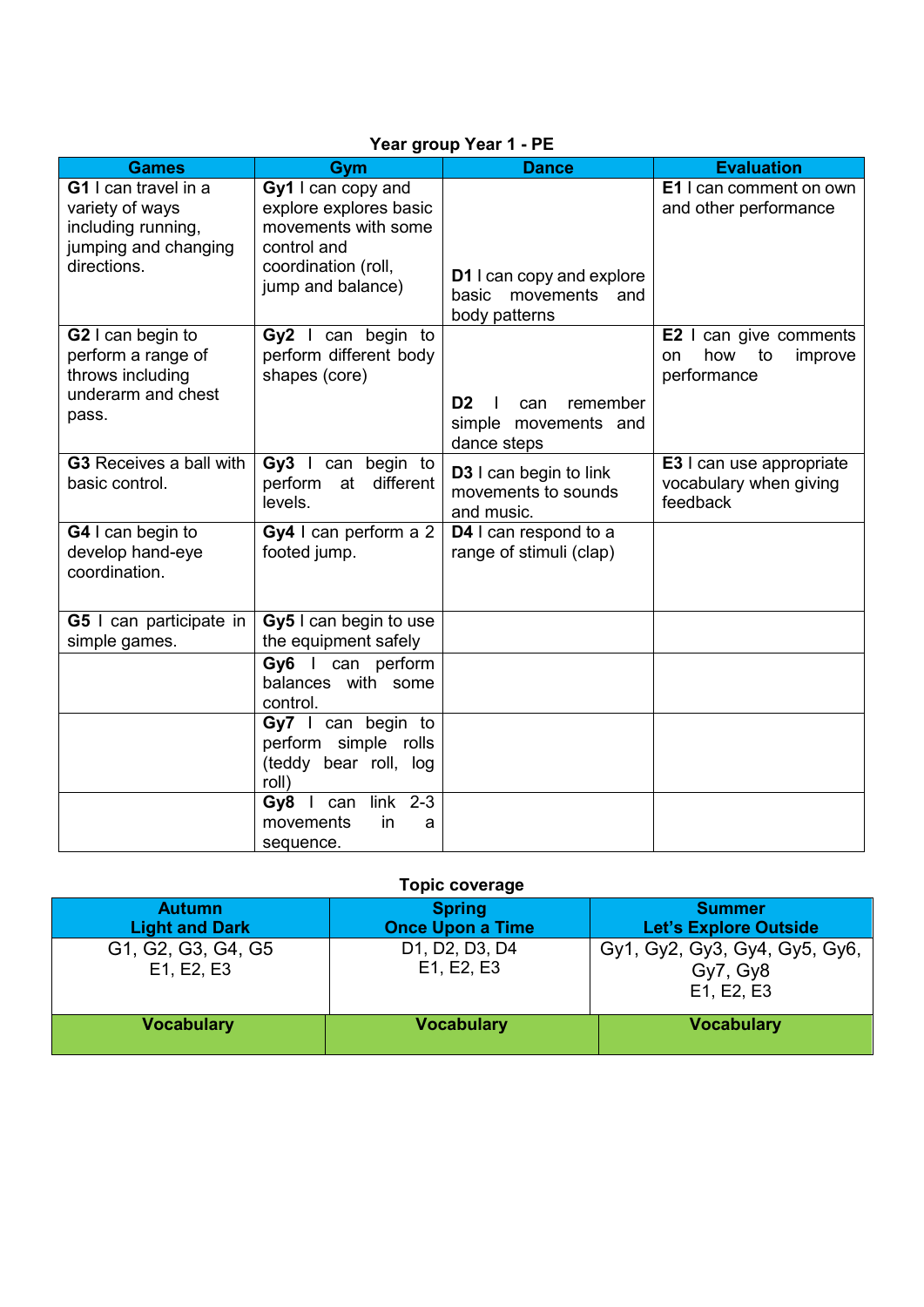| <b>Games</b>                                                                                         | Gym                                                                                                                            | <b>Dance</b>                                                             | <b>Evaluation</b>                                                     |
|------------------------------------------------------------------------------------------------------|--------------------------------------------------------------------------------------------------------------------------------|--------------------------------------------------------------------------|-----------------------------------------------------------------------|
| G1 I can travel in a<br>variety of ways<br>including running,<br>jumping and changing<br>directions. | Gy1 I can copy and<br>explore explores basic<br>movements with some<br>control and<br>coordination (roll,<br>jump and balance) | <b>D1</b> I can copy and explore<br>movements and<br>basic               | <b>E1</b> I can comment on own<br>and other performance               |
|                                                                                                      |                                                                                                                                | body patterns                                                            |                                                                       |
| G2 I can begin to<br>perform a range of<br>throws including<br>underarm and chest<br>pass.           | Gy2 I can begin to<br>perform different body<br>shapes (core)                                                                  |                                                                          | E2 I can give comments<br>how<br>to<br>improve<br>on<br>performance   |
|                                                                                                      |                                                                                                                                | D <sub>2</sub><br>remember<br>can<br>simple movements and<br>dance steps |                                                                       |
| <b>G3</b> Receives a ball with<br>basic control.                                                     | Gy3 I can begin to<br>perform at different<br>levels.                                                                          | <b>D3</b> I can begin to link<br>movements to sounds<br>and music.       | <b>E3</b> I can use appropriate<br>vocabulary when giving<br>feedback |
| G4 I can begin to<br>develop hand-eye<br>coordination.                                               | Gy4 I can perform a 2<br>footed jump.                                                                                          | D4 I can respond to a<br>range of stimuli (clap)                         |                                                                       |
| <b>G5</b> I can participate in<br>simple games.                                                      | Gy5 I can begin to use<br>the equipment safely                                                                                 |                                                                          |                                                                       |
|                                                                                                      | Gy6 I can perform<br>balances with some<br>control.                                                                            |                                                                          |                                                                       |
|                                                                                                      | Gy7 I can begin to<br>perform simple rolls<br>(teddy bear roll, log<br>roll)                                                   |                                                                          |                                                                       |
|                                                                                                      | $2 - 3$<br>Gy8 $\mid$ can<br>link<br>movements<br>in<br>a<br>sequence.                                                         |                                                                          |                                                                       |

## **Year group Year 1 - PE**

## **Topic coverage**

| <b>Autumn</b><br><b>Light and Dark</b> | <b>Spring</b><br><b>Once Upon a Time</b> | <b>Summer</b><br><b>Let's Explore Outside</b>           |
|----------------------------------------|------------------------------------------|---------------------------------------------------------|
| G1, G2, G3, G4, G5<br>E1, E2, E3       | D1, D2, D3, D4<br>E1, E2, E3             | Gy1, Gy2, Gy3, Gy4, Gy5, Gy6,<br>Gy7, Gy8<br>E1, E2, E3 |
| <b>Vocabulary</b>                      | <b>Vocabulary</b>                        | <b>Vocabulary</b>                                       |